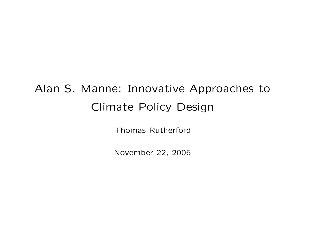# Alan S. Manne: Innovative Approaches to Climate Policy Design

Thomas Rutherford

November 22, 2006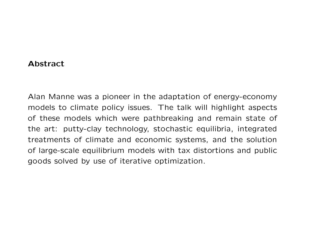#### Abstract

Alan Manne was a pioneer in the adaptation of energy-economy models to climate policy issues. The talk will highlight aspects of these models which were pathbreaking and remain state of the art: putty-clay technology, stochastic equilibria, integrated treatments of climate and economic systems, and the solution of large-scale equilibrium models with tax distortions and public goods solved by use of iterative optimization.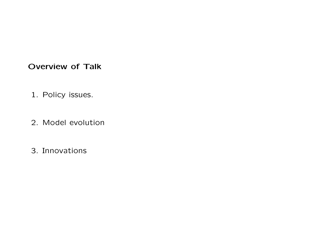# Overview of Talk

- 1. Policy issues.
- 2. Model evolution
- 3. Innovations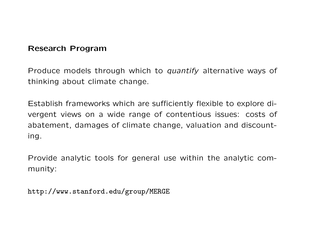#### Research Program

Produce models through which to *quantify* alternative ways of thinking about climate change.

Establish frameworks which are sufficiently flexible to explore divergent views on a wide range of contentious issues: costs of abatement, damages of climate change, valuation and discounting.

Provide analytic tools for general use within the analytic community:

http://www.stanford.edu/group/MERGE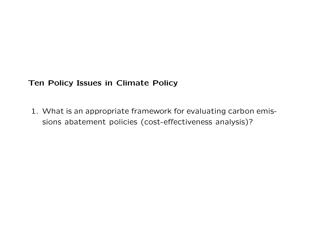#### Ten Policy Issues in Climate Policy

1. What is an appropriate framework for evaluating carbon emissions abatement policies (cost-effectiveness analysis)?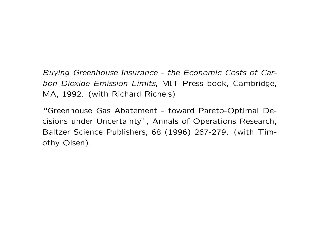Buying Greenhouse Insurance - the Economic Costs of Carbon Dioxide Emission Limits, MIT Press book, Cambridge, MA, 1992. (with Richard Richels)

"Greenhouse Gas Abatement - toward Pareto-Optimal Decisions under Uncertainty", Annals of Operations Research, Baltzer Science Publishers, 68 (1996) 267-279. (with Timothy Olsen).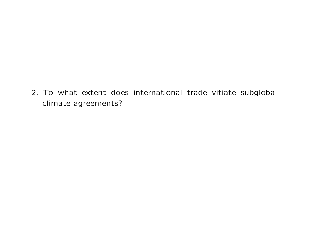2. To what extent does international trade vitiate subglobal climate agreements?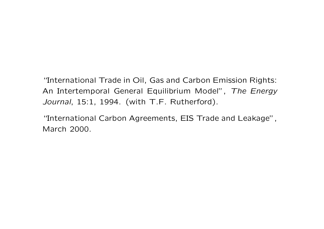"International Trade in Oil, Gas and Carbon Emission Rights: An Intertemporal General Equilibrium Model", The Energy Journal, 15:1, 1994. (with T.F. Rutherford).

"International Carbon Agreements, EIS Trade and Leakage", March 2000.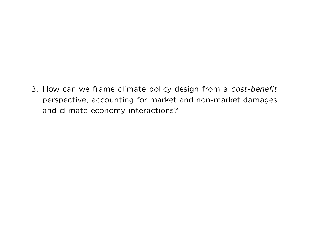3. How can we frame climate policy design from a cost-benefit perspective, accounting for market and non-market damages and climate-economy interactions?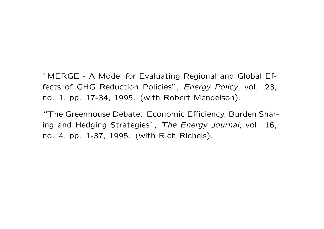"MERGE - A Model for Evaluating Regional and Global Effects of GHG Reduction Policies", Energy Policy, vol. 23, no. 1, pp. 17-34, 1995. (with Robert Mendelson).

"The Greenhouse Debate: Economic Efficiency, Burden Sharing and Hedging Strategies", The Energy Journal, vol. 16, no. 4, pp. 1-37, 1995. (with Rich Richels).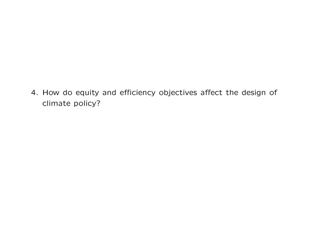4. How do equity and efficiency objectives affect the design of climate policy?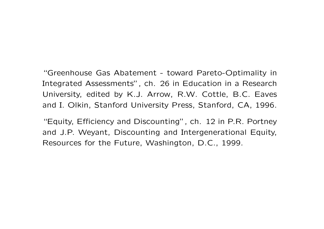"Greenhouse Gas Abatement - toward Pareto-Optimality in Integrated Assessments", ch. 26 in Education in a Research University, edited by K.J. Arrow, R.W. Cottle, B.C. Eaves and I. Olkin, Stanford University Press, Stanford, CA, 1996.

"Equity, Efficiency and Discounting", ch. 12 in P.R. Portney and J.P. Weyant, Discounting and Intergenerational Equity, Resources for the Future, Washington, D.C., 1999.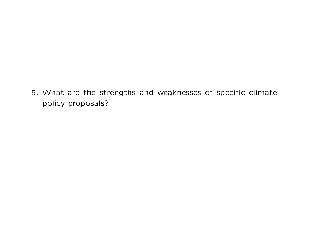5. What are the strengths and weaknesses of specific climate policy proposals?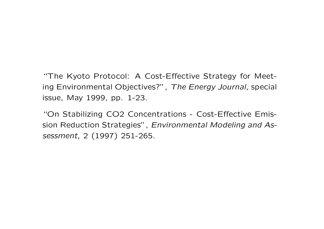"The Kyoto Protocol: A Cost-Effective Strategy for Meeting Environmental Objectives?", The Energy Journal, special issue, May 1999, pp. 1-23.

"On Stabilizing CO2 Concentrations - Cost-Effective Emission Reduction Strategies", Environmental Modeling and Assessment, 2 (1997) 251-265.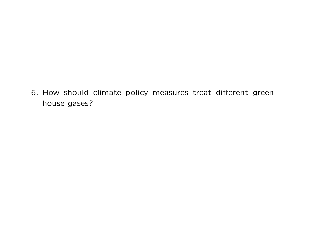6. How should climate policy measures treat different greenhouse gases?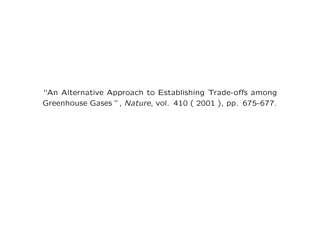"An Alternative Approach to Establishing Trade-offs among Greenhouse Gases ", Nature, vol. 410 ( 2001 ), pp. 675-677.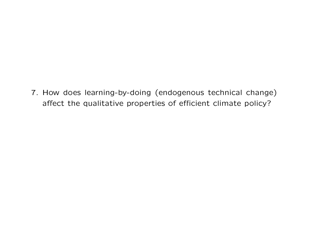7. How does learning-by-doing (endogenous technical change) affect the qualitative properties of efficient climate policy?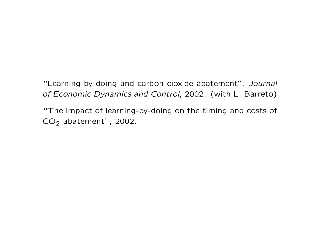"Learning-by-doing and carbon cioxide abatement", Journal of Economic Dynamics and Control, 2002. (with L. Barreto)

"The impact of learning-by-doing on the timing and costs of  $CO<sub>2</sub>$  abatement", 2002.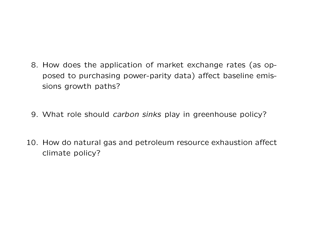- 8. How does the application of market exchange rates (as opposed to purchasing power-parity data) affect baseline emissions growth paths?
- 9. What role should *carbon sinks* play in greenhouse policy?
- 10. How do natural gas and petroleum resource exhaustion affect climate policy?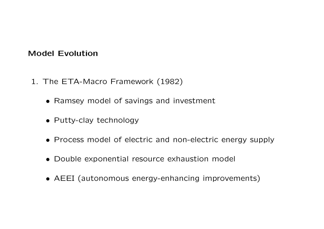#### Model Evolution

- 1. The ETA-Macro Framework (1982)
	- Ramsey model of savings and investment
	- Putty-clay technology
	- Process model of electric and non-electric energy supply
	- Double exponential resource exhaustion model
	- AEEI (autonomous energy-enhancing improvements)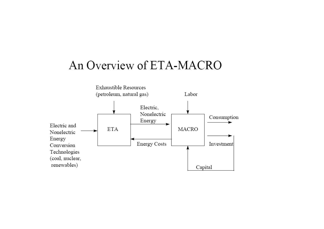# An Overview of ETA-MACRO

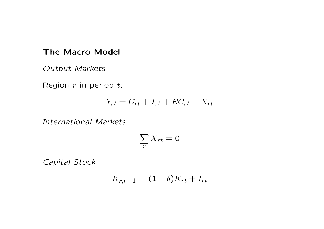#### The Macro Model

Output Markets

Region  $r$  in period  $t$ :

$$
Y_{rt} = C_{rt} + I_{rt} + EC_{rt} + X_{rt}
$$

International Markets

$$
\sum_r X_{rt} = 0
$$

Capital Stock

$$
K_{r,t+1} = (1 - \delta)K_{rt} + I_{rt}
$$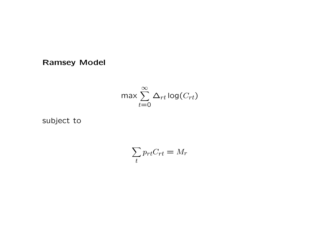Ramsey Model

$$
\max \sum_{t=0}^{\infty} \Delta_{rt} \log(C_{rt})
$$

subject to

$$
\sum_t p_{rt} C_{rt} = M_r
$$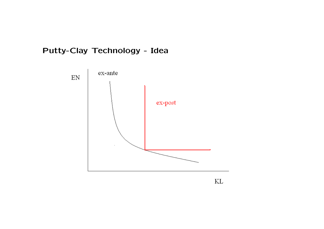# Putty-Clay Technology - Idea



 $\mbox{KL}$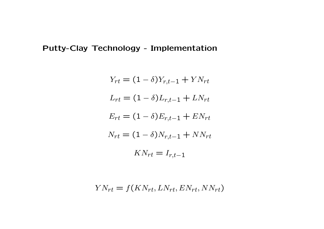# Putty-Clay Technology - Implementation

$$
Y_{rt} = (1 - \delta)Y_{r,t-1} + Y N_{rt}
$$
  
\n
$$
L_{rt} = (1 - \delta) L_{r,t-1} + L N_{rt}
$$
  
\n
$$
E_{rt} = (1 - \delta) E_{r,t-1} + E N_{rt}
$$
  
\n
$$
N_{rt} = (1 - \delta) N_{r,t-1} + N N_{rt}
$$
  
\n
$$
K N_{rt} = I_{r,t-1}
$$

$$
YN_{rt} = f(KN_{rt}, LN_{rt}, EN_{rt}, NN_{rt})
$$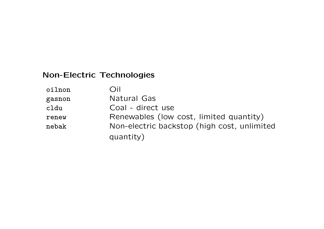# Non-Electric Technologies

| oilnon | Oil                                         |
|--------|---------------------------------------------|
| gasnon | Natural Gas                                 |
| cldu   | Coal - direct use                           |
| renew  | Renewables (low cost, limited quantity)     |
| nebak  | Non-electric backstop (high cost, unlimited |
|        | quantity)                                   |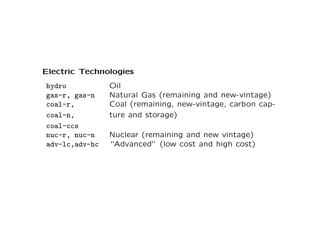# Electric Technologies

| hydro                            | Dil                                                                        |
|----------------------------------|----------------------------------------------------------------------------|
| gas-r, gas-n                     | Natural Gas (remaining and new-vintage)                                    |
| $\text{coal-r}$ ,                | Coal (remaining, new-vintage, carbon cap-                                  |
| $\text{coal-n}$ ,                | ture and storage)                                                          |
| $coal$ $-ccs$                    |                                                                            |
| nuc-r, nuc-n<br>$adv-lc, adv-hc$ | Nuclear (remaining and new vintage)<br>"Advanced" (low cost and high cost) |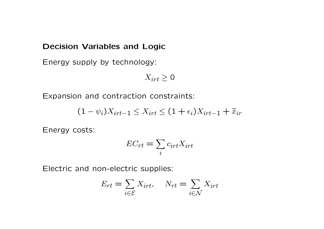#### Decision Variables and Logic

Energy supply by technology:

$$
X_{irt} \geq 0
$$

Expansion and contraction constraints:

$$
(1 - \psi_i)X_{irt-1} \le X_{irt} \le (1 + \epsilon_i)X_{irt-1} + \bar{x}_{ir}
$$

Energy costs:

$$
EC_{rt} = \sum_{i} c_{irt} X_{irt}
$$

Electric and non-electric supplies:

$$
E_{rt} = \sum_{i \in \mathcal{E}} X_{irt}, \quad N_{rt} = \sum_{i \in \mathcal{N}} X_{irt}
$$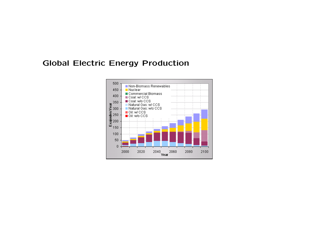# Global Electric Energy Production

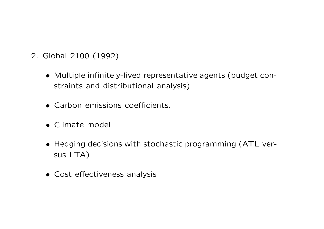- 2. Global 2100 (1992)
	- Multiple infinitely-lived representative agents (budget constraints and distributional analysis)
	- Carbon emissions coefficients.
	- Climate model
	- Hedging decisions with stochastic programming (ATL versus LTA)
	- Cost effectiveness analysis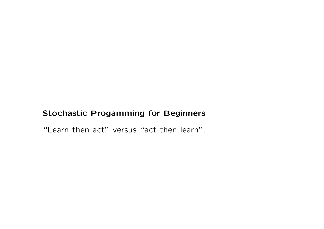# Stochastic Progamming for Beginners

"Learn then act" versus "act then learn".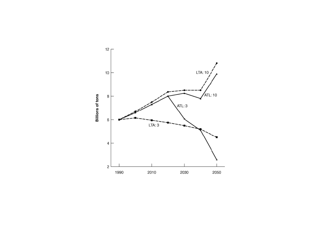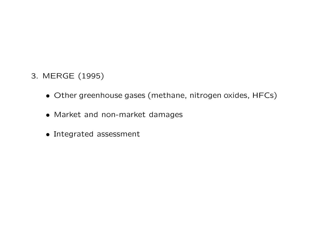- 3. MERGE (1995)
	- Other greenhouse gases (methane, nitrogen oxides, HFCs)
	- Market and non-market damages
	- Integrated assessment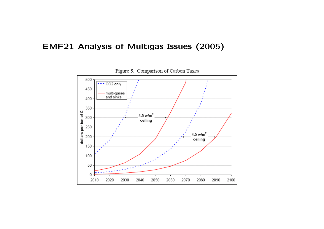# EMF21 Analysis of Multigas Issues (2005)



Figure 5. Comparison of Carbon Taxes